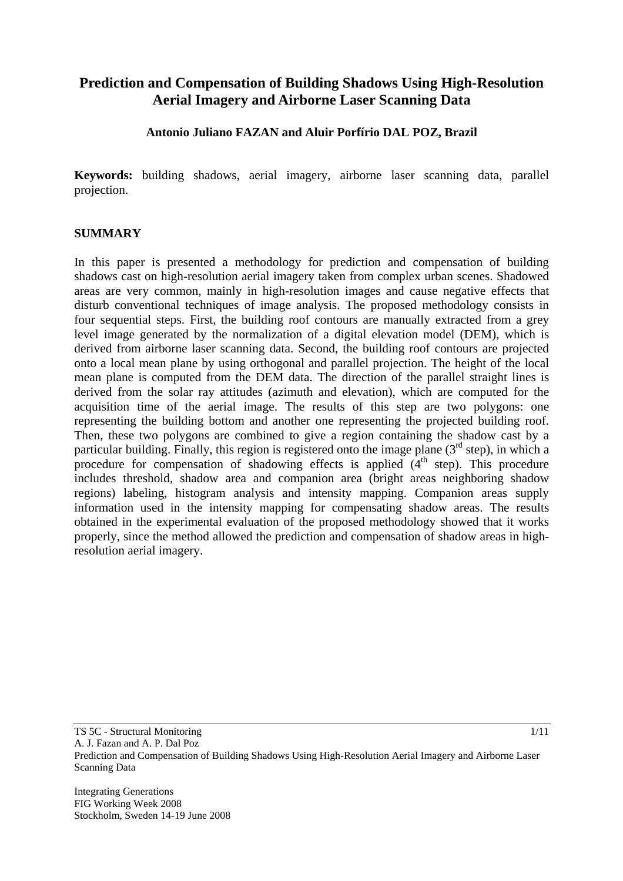# **Prediction and Compensation of Building Shadows Using High-Resolution Aerial Imagery and Airborne Laser Scanning Data**

# **Antonio Juliano FAZAN and Aluir Porfírio DAL POZ, Brazil**

**Keywords:** building shadows, aerial imagery, airborne laser scanning data, parallel projection.

### **SUMMARY**

In this paper is presented a methodology for prediction and compensation of building shadows cast on high-resolution aerial imagery taken from complex urban scenes. Shadowed areas are very common, mainly in high-resolution images and cause negative effects that disturb conventional techniques of image analysis. The proposed methodology consists in four sequential steps. First, the building roof contours are manually extracted from a grey level image generated by the normalization of a digital elevation model (DEM), which is derived from airborne laser scanning data. Second, the building roof contours are projected onto a local mean plane by using orthogonal and parallel projection. The height of the local mean plane is computed from the DEM data. The direction of the parallel straight lines is derived from the solar ray attitudes (azimuth and elevation), which are computed for the acquisition time of the aerial image. The results of this step are two polygons: one representing the building bottom and another one representing the projected building roof. Then, these two polygons are combined to give a region containing the shadow cast by a particular building. Finally, this region is registered onto the image plane  $(3<sup>rd</sup> step)$ , in which a procedure for compensation of shadowing effects is applied  $(4<sup>th</sup> step)$ . This procedure includes threshold, shadow area and companion area (bright areas neighboring shadow regions) labeling, histogram analysis and intensity mapping. Companion areas supply information used in the intensity mapping for compensating shadow areas. The results obtained in the experimental evaluation of the proposed methodology showed that it works properly, since the method allowed the prediction and compensation of shadow areas in highresolution aerial imagery.

TS 5C - Structural Monitoring A. J. Fazan and A. P. Dal Poz Prediction and Compensation of Building Shadows Using High-Resolution Aerial Imagery and Airborne Laser Scanning Data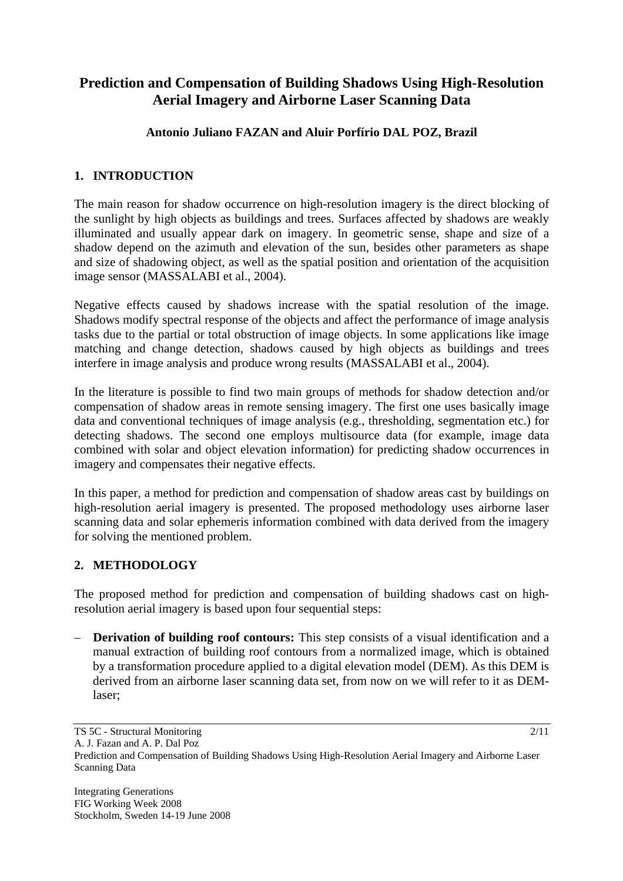# **Prediction and Compensation of Building Shadows Using High-Resolution Aerial Imagery and Airborne Laser Scanning Data**

# **Antonio Juliano FAZAN and Aluir Porfírio DAL POZ, Brazil**

# **1. INTRODUCTION**

The main reason for shadow occurrence on high-resolution imagery is the direct blocking of the sunlight by high objects as buildings and trees. Surfaces affected by shadows are weakly illuminated and usually appear dark on imagery. In geometric sense, shape and size of a shadow depend on the azimuth and elevation of the sun, besides other parameters as shape and size of shadowing object, as well as the spatial position and orientation of the acquisition image sensor (MASSALABI et al., 2004).

Negative effects caused by shadows increase with the spatial resolution of the image. Shadows modify spectral response of the objects and affect the performance of image analysis tasks due to the partial or total obstruction of image objects. In some applications like image matching and change detection, shadows caused by high objects as buildings and trees interfere in image analysis and produce wrong results (MASSALABI et al., 2004).

In the literature is possible to find two main groups of methods for shadow detection and/or compensation of shadow areas in remote sensing imagery. The first one uses basically image data and conventional techniques of image analysis (e.g., thresholding, segmentation etc.) for detecting shadows. The second one employs multisource data (for example, image data combined with solar and object elevation information) for predicting shadow occurrences in imagery and compensates their negative effects.

In this paper, a method for prediction and compensation of shadow areas cast by buildings on high-resolution aerial imagery is presented. The proposed methodology uses airborne laser scanning data and solar ephemeris information combined with data derived from the imagery for solving the mentioned problem.

# **2. METHODOLOGY**

The proposed method for prediction and compensation of building shadows cast on highresolution aerial imagery is based upon four sequential steps:

– **Derivation of building roof contours:** This step consists of a visual identification and a manual extraction of building roof contours from a normalized image, which is obtained by a transformation procedure applied to a digital elevation model (DEM). As this DEM is derived from an airborne laser scanning data set, from now on we will refer to it as DEMlaser;

TS 5C - Structural Monitoring

A. J. Fazan and A. P. Dal Poz

Prediction and Compensation of Building Shadows Using High-Resolution Aerial Imagery and Airborne Laser Scanning Data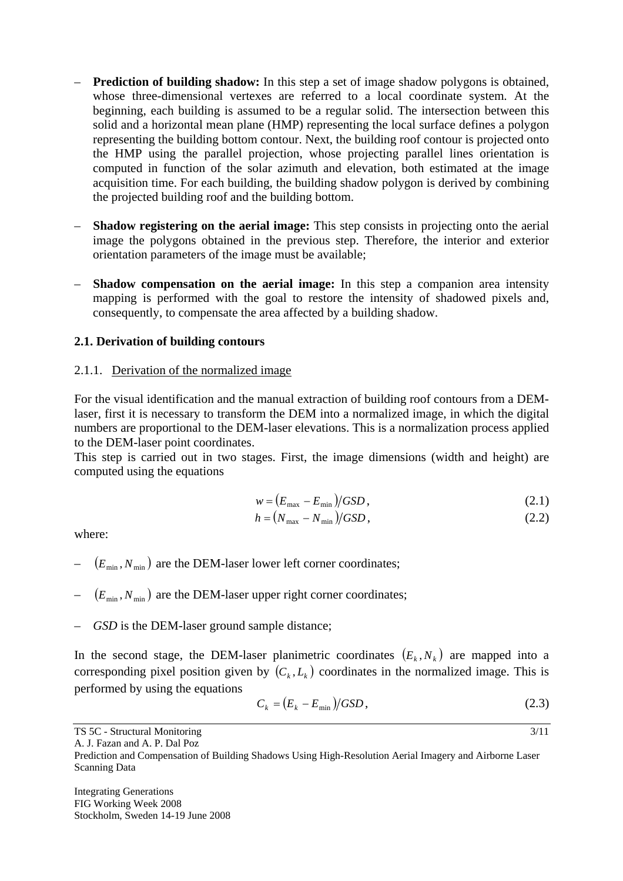- **Prediction of building shadow:** In this step a set of image shadow polygons is obtained, whose three-dimensional vertexes are referred to a local coordinate system. At the beginning, each building is assumed to be a regular solid. The intersection between this solid and a horizontal mean plane (HMP) representing the local surface defines a polygon representing the building bottom contour. Next, the building roof contour is projected onto the HMP using the parallel projection, whose projecting parallel lines orientation is computed in function of the solar azimuth and elevation, both estimated at the image acquisition time. For each building, the building shadow polygon is derived by combining the projected building roof and the building bottom.
- **Shadow registering on the aerial image:** This step consists in projecting onto the aerial image the polygons obtained in the previous step. Therefore, the interior and exterior orientation parameters of the image must be available;
- **Shadow compensation on the aerial image:** In this step a companion area intensity mapping is performed with the goal to restore the intensity of shadowed pixels and, consequently, to compensate the area affected by a building shadow.

### **2.1. Derivation of building contours**

### 2.1.1. Derivation of the normalized image

For the visual identification and the manual extraction of building roof contours from a DEMlaser, first it is necessary to transform the DEM into a normalized image, in which the digital numbers are proportional to the DEM-laser elevations. This is a normalization process applied to the DEM-laser point coordinates.

This step is carried out in two stages. First, the image dimensions (width and height) are computed using the equations

$$
w = \left(E_{\text{max}} - E_{\text{min}}\right) / GSD\,,\tag{2.1}
$$

$$
h = \left(N_{\text{max}} - N_{\text{min}}\right) / GSD\,,\tag{2.2}
$$

where:

- $(E_{\min}, N_{\min})$  are the DEM-laser lower left corner coordinates;
- $(E_{\min}, N_{\min})$  are the DEM-laser upper right corner coordinates;
- *GSD* is the DEM-laser ground sample distance;

In the second stage, the DEM-laser planimetric coordinates  $(E_k, N_k)$  are mapped into a corresponding pixel position given by  $(C_k, L_k)$  coordinates in the normalized image. This is performed by using the equations

$$
C_k = (E_k - E_{\min})/GSD,
$$
\n
$$
(2.3)
$$

3/11

A. J. Fazan and A. P. Dal Poz

TS 5C - Structural Monitoring

Prediction and Compensation of Building Shadows Using High-Resolution Aerial Imagery and Airborne Laser Scanning Data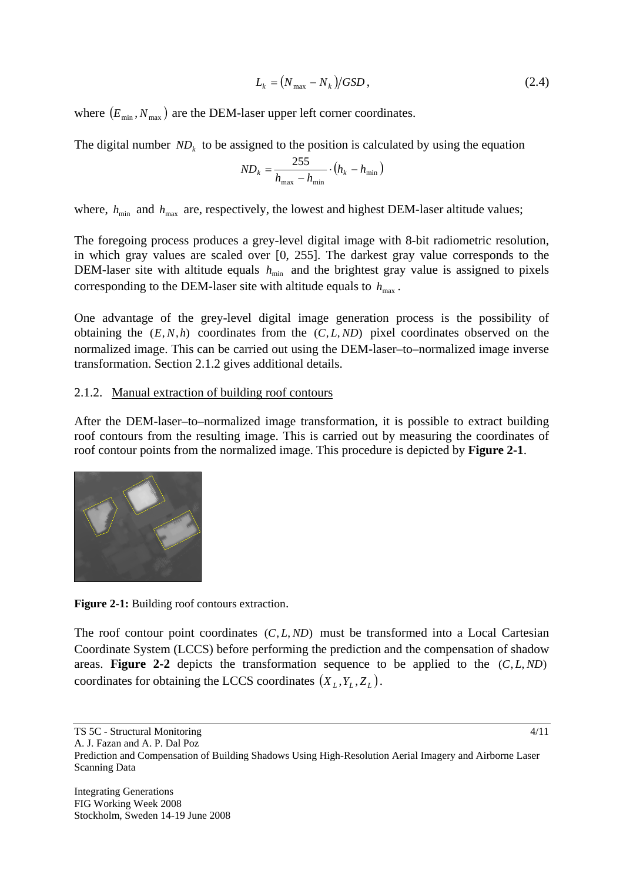$$
L_k = \left(N_{\text{max}} - N_k\right) / GSD\,,\tag{2.4}
$$

where  $(E_{\min}, N_{\max})$  are the DEM-laser upper left corner coordinates.

The digital number  $ND_k$  to be assigned to the position is calculated by using the equation

$$
ND_k = \frac{255}{h_{\text{max}} - h_{\text{min}}} \cdot (h_k - h_{\text{min}})
$$

where,  $h_{\text{min}}$  and  $h_{\text{max}}$  are, respectively, the lowest and highest DEM-laser altitude values;

The foregoing process produces a grey-level digital image with 8-bit radiometric resolution, in which gray values are scaled over [0, 255]. The darkest gray value corresponds to the DEM-laser site with altitude equals  $h_{\text{min}}$  and the brightest gray value is assigned to pixels corresponding to the DEM-laser site with altitude equals to  $h_{\text{max}}$ .

One advantage of the grey-level digital image generation process is the possibility of obtaining the  $(E, N, h)$  coordinates from the  $(C, L, ND)$  pixel coordinates observed on the normalized image. This can be carried out using the DEM-laser–to–normalized image inverse transformation. Section 2.1.2 gives additional details.

# 2.1.2. Manual extraction of building roof contours

After the DEM-laser–to–normalized image transformation, it is possible to extract building roof contours from the resulting image. This is carried out by measuring the coordinates of roof contour points from the normalized image. This procedure is depicted by **Figure 2-1**.



**Figure 2-1:** Building roof contours extraction.

The roof contour point coordinates (*C*, *L*, *ND*) must be transformed into a Local Cartesian Coordinate System (LCCS) before performing the prediction and the compensation of shadow areas. **Figure 2-2** depicts the transformation sequence to be applied to the  $(C, L, ND)$ coordinates for obtaining the LCCS coordinates  $(X_L, Y_L, Z_L)$ .

TS 5C - Structural Monitoring

A. J. Fazan and A. P. Dal Poz

Prediction and Compensation of Building Shadows Using High-Resolution Aerial Imagery and Airborne Laser Scanning Data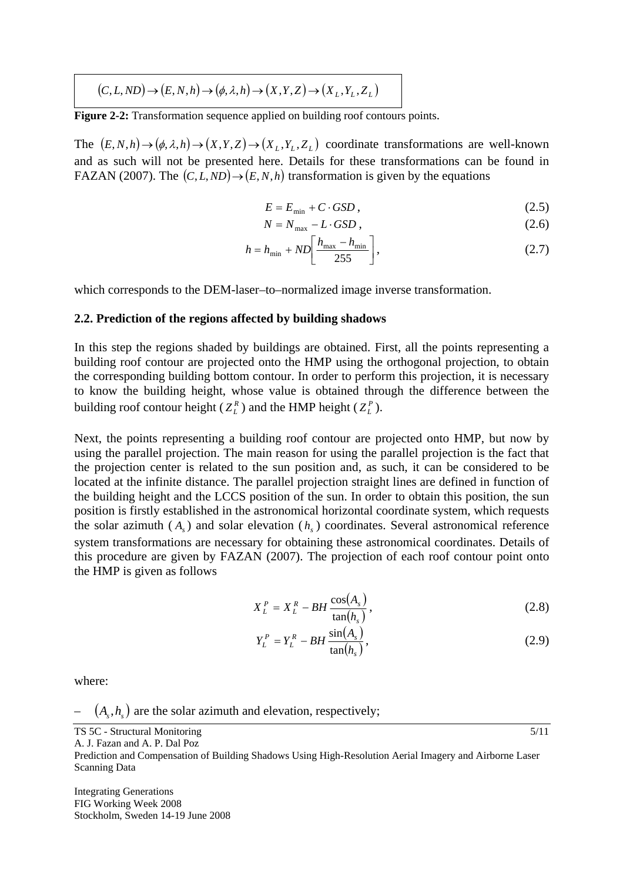$$
(C, L, ND) \to (E, N, h) \to (\phi, \lambda, h) \to (X, Y, Z) \to (X_L, Y_L, Z_L)
$$

**Figure 2-2:** Transformation sequence applied on building roof contours points.

The  $(E, N, h) \rightarrow (\phi, \lambda, h) \rightarrow (X, Y, Z) \rightarrow (X, Y, Z, Z)$  coordinate transformations are well-known and as such will not be presented here. Details for these transformations can be found in FAZAN (2007). The  $(C, L, ND) \rightarrow (E, N, h)$  transformation is given by the equations

$$
E = E_{\min} + C \cdot GSD \,, \tag{2.5}
$$

$$
N = N_{\text{max}} - L \cdot GSD \,,\tag{2.6}
$$

$$
h = h_{\min} + ND \bigg[ \frac{h_{\max} - h_{\min}}{255} \bigg],
$$
 (2.7)

which corresponds to the DEM-laser–to–normalized image inverse transformation.

#### **2.2. Prediction of the regions affected by building shadows**

In this step the regions shaded by buildings are obtained. First, all the points representing a building roof contour are projected onto the HMP using the orthogonal projection, to obtain the corresponding building bottom contour. In order to perform this projection, it is necessary to know the building height, whose value is obtained through the difference between the building roof contour height ( $Z_L^R$ ) and the HMP height ( $Z_L^P$ ).

Next, the points representing a building roof contour are projected onto HMP, but now by using the parallel projection. The main reason for using the parallel projection is the fact that the projection center is related to the sun position and, as such, it can be considered to be located at the infinite distance. The parallel projection straight lines are defined in function of the building height and the LCCS position of the sun. In order to obtain this position, the sun position is firstly established in the astronomical horizontal coordinate system, which requests the solar azimuth  $(A<sub>s</sub>)$  and solar elevation  $(h<sub>s</sub>)$  coordinates. Several astronomical reference system transformations are necessary for obtaining these astronomical coordinates. Details of this procedure are given by FAZAN (2007). The projection of each roof contour point onto the HMP is given as follows

$$
X_L^P = X_L^R - BH \frac{\cos(A_s)}{\tan(h_s)},
$$
\n(2.8)

$$
Y_L^P = Y_L^R - BH \frac{\sin(A_s)}{\tan(h_s)},
$$
\n(2.9)

5/11

where:

 $(A<sub>s</sub>, h<sub>s</sub>)$  are the solar azimuth and elevation, respectively;

Prediction and Compensation of Building Shadows Using High-Resolution Aerial Imagery and Airborne Laser Scanning Data

Integrating Generations FIG Working Week 2008 Stockholm, Sweden 14-19 June 2008

TS 5C - Structural Monitoring

A. J. Fazan and A. P. Dal Poz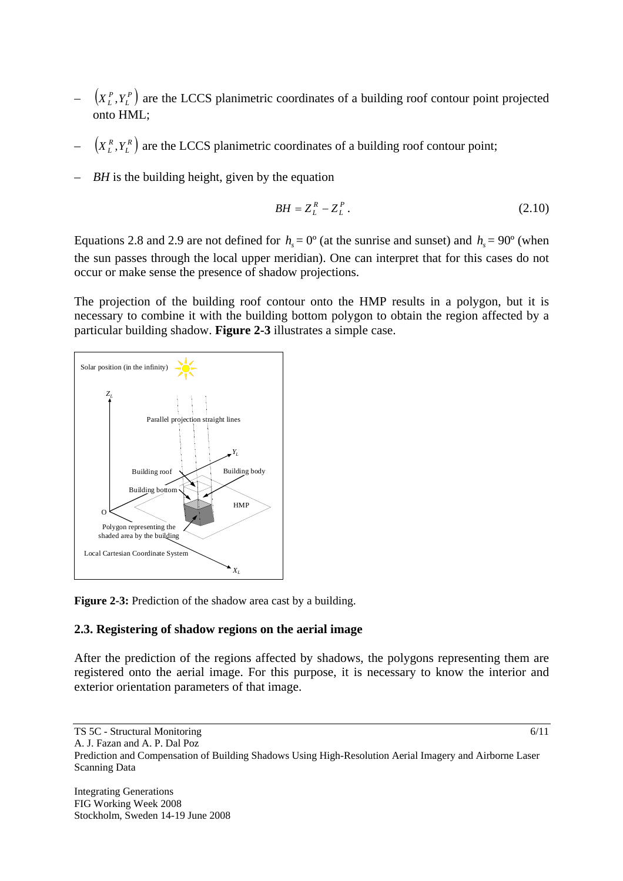- $(X_L^P, Y_L^P)$  are the LCCS planimetric coordinates of a building roof contour point projected onto HML;
- $(X_L^R, Y_L^R)$  are the LCCS planimetric coordinates of a building roof contour point;
- *BH* is the building height, given by the equation

$$
BH = Z_L^R - Z_L^P. \tag{2.10}
$$

Equations 2.8 and 2.9 are not defined for  $h<sub>s</sub> = 0<sup>o</sup>$  (at the sunrise and sunset) and  $h<sub>s</sub> = 90<sup>o</sup>$  (when the sun passes through the local upper meridian). One can interpret that for this cases do not occur or make sense the presence of shadow projections.

The projection of the building roof contour onto the HMP results in a polygon, but it is necessary to combine it with the building bottom polygon to obtain the region affected by a particular building shadow. **Figure 2-3** illustrates a simple case.



**Figure 2-3:** Prediction of the shadow area cast by a building.

# **2.3. Registering of shadow regions on the aerial image**

After the prediction of the regions affected by shadows, the polygons representing them are registered onto the aerial image. For this purpose, it is necessary to know the interior and exterior orientation parameters of that image.

TS 5C - Structural Monitoring

A. J. Fazan and A. P. Dal Poz

Prediction and Compensation of Building Shadows Using High-Resolution Aerial Imagery and Airborne Laser Scanning Data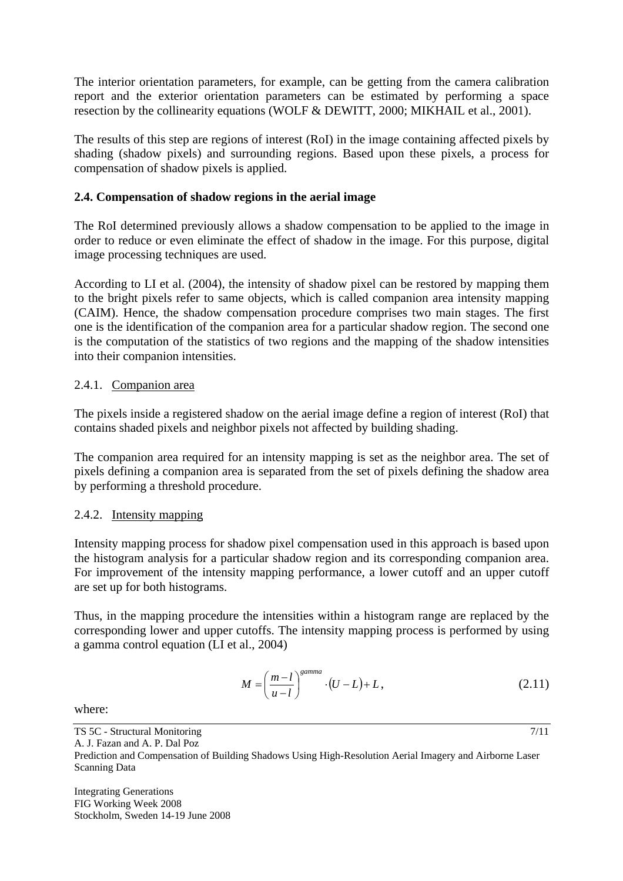The interior orientation parameters, for example, can be getting from the camera calibration report and the exterior orientation parameters can be estimated by performing a space resection by the collinearity equations (WOLF & DEWITT, 2000; MIKHAIL et al., 2001).

The results of this step are regions of interest (RoI) in the image containing affected pixels by shading (shadow pixels) and surrounding regions. Based upon these pixels, a process for compensation of shadow pixels is applied.

# **2.4. Compensation of shadow regions in the aerial image**

The RoI determined previously allows a shadow compensation to be applied to the image in order to reduce or even eliminate the effect of shadow in the image. For this purpose, digital image processing techniques are used.

According to LI et al. (2004), the intensity of shadow pixel can be restored by mapping them to the bright pixels refer to same objects, which is called companion area intensity mapping (CAIM). Hence, the shadow compensation procedure comprises two main stages. The first one is the identification of the companion area for a particular shadow region. The second one is the computation of the statistics of two regions and the mapping of the shadow intensities into their companion intensities.

# 2.4.1. Companion area

The pixels inside a registered shadow on the aerial image define a region of interest (RoI) that contains shaded pixels and neighbor pixels not affected by building shading.

The companion area required for an intensity mapping is set as the neighbor area. The set of pixels defining a companion area is separated from the set of pixels defining the shadow area by performing a threshold procedure.

# 2.4.2. Intensity mapping

Intensity mapping process for shadow pixel compensation used in this approach is based upon the histogram analysis for a particular shadow region and its corresponding companion area. For improvement of the intensity mapping performance, a lower cutoff and an upper cutoff are set up for both histograms.

Thus, in the mapping procedure the intensities within a histogram range are replaced by the corresponding lower and upper cutoffs. The intensity mapping process is performed by using a gamma control equation (LI et al., 2004)

$$
M = \left(\frac{m-l}{u-l}\right)^{\text{gamma}} \cdot (U-L) + L\,,\tag{2.11}
$$

7/11

where:

TS 5C - Structural Monitoring A. J. Fazan and A. P. Dal Poz

Prediction and Compensation of Building Shadows Using High-Resolution Aerial Imagery and Airborne Laser Scanning Data

Integrating Generations FIG Working Week 2008 Stockholm, Sweden 14-19 June 2008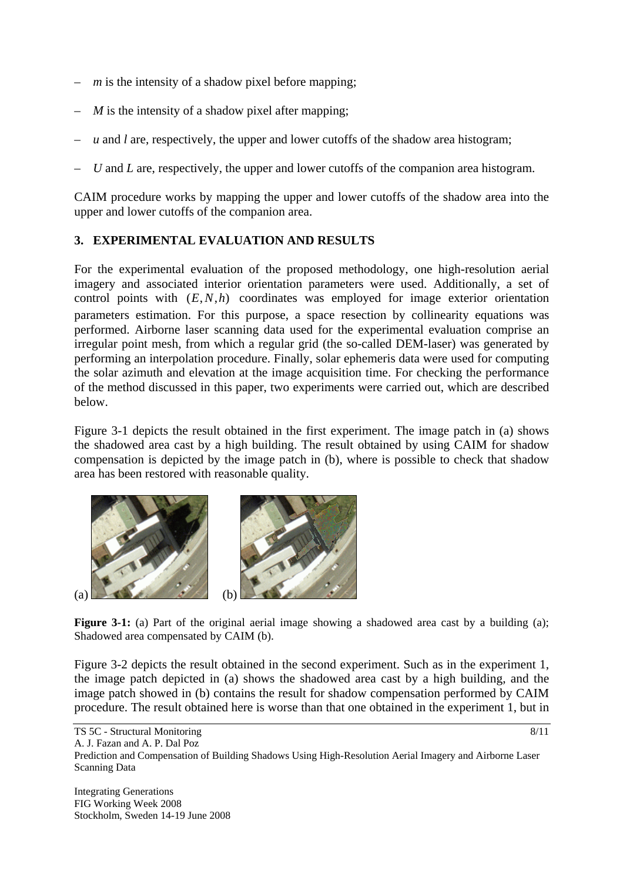- $m$  is the intensity of a shadow pixel before mapping;
- *M* is the intensity of a shadow pixel after mapping;
- *u* and *l* are, respectively, the upper and lower cutoffs of the shadow area histogram;
- *U* and *L* are, respectively, the upper and lower cutoffs of the companion area histogram.

CAIM procedure works by mapping the upper and lower cutoffs of the shadow area into the upper and lower cutoffs of the companion area.

# **3. EXPERIMENTAL EVALUATION AND RESULTS**

For the experimental evaluation of the proposed methodology, one high-resolution aerial imagery and associated interior orientation parameters were used. Additionally, a set of control points with (*E*,*N*,*h*) coordinates was employed for image exterior orientation parameters estimation. For this purpose, a space resection by collinearity equations was performed. Airborne laser scanning data used for the experimental evaluation comprise an irregular point mesh, from which a regular grid (the so-called DEM-laser) was generated by performing an interpolation procedure. Finally, solar ephemeris data were used for computing the solar azimuth and elevation at the image acquisition time. For checking the performance of the method discussed in this paper, two experiments were carried out, which are described below.

Figure 3-1 depicts the result obtained in the first experiment. The image patch in (a) shows the shadowed area cast by a high building. The result obtained by using CAIM for shadow compensation is depicted by the image patch in (b), where is possible to check that shadow area has been restored with reasonable quality.



Figure 3-1: (a) Part of the original aerial image showing a shadowed area cast by a building (a); Shadowed area compensated by CAIM (b).

Figure 3-2 depicts the result obtained in the second experiment. Such as in the experiment 1, the image patch depicted in (a) shows the shadowed area cast by a high building, and the image patch showed in (b) contains the result for shadow compensation performed by CAIM procedure. The result obtained here is worse than that one obtained in the experiment 1, but in

TS 5C - Structural Monitoring

A. J. Fazan and A. P. Dal Poz

Prediction and Compensation of Building Shadows Using High-Resolution Aerial Imagery and Airborne Laser Scanning Data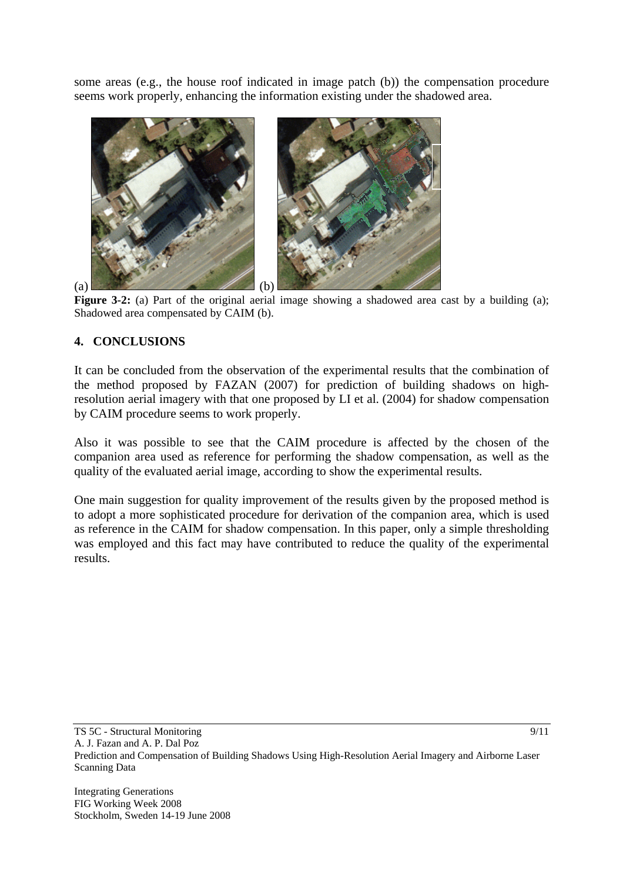some areas (e.g., the house roof indicated in image patch (b)) the compensation procedure seems work properly, enhancing the information existing under the shadowed area.



Figure 3-2: (a) Part of the original aerial image showing a shadowed area cast by a building (a); Shadowed area compensated by CAIM (b).

# **4. CONCLUSIONS**

It can be concluded from the observation of the experimental results that the combination of the method proposed by FAZAN (2007) for prediction of building shadows on highresolution aerial imagery with that one proposed by LI et al. (2004) for shadow compensation by CAIM procedure seems to work properly.

Also it was possible to see that the CAIM procedure is affected by the chosen of the companion area used as reference for performing the shadow compensation, as well as the quality of the evaluated aerial image, according to show the experimental results.

One main suggestion for quality improvement of the results given by the proposed method is to adopt a more sophisticated procedure for derivation of the companion area, which is used as reference in the CAIM for shadow compensation. In this paper, only a simple thresholding was employed and this fact may have contributed to reduce the quality of the experimental results.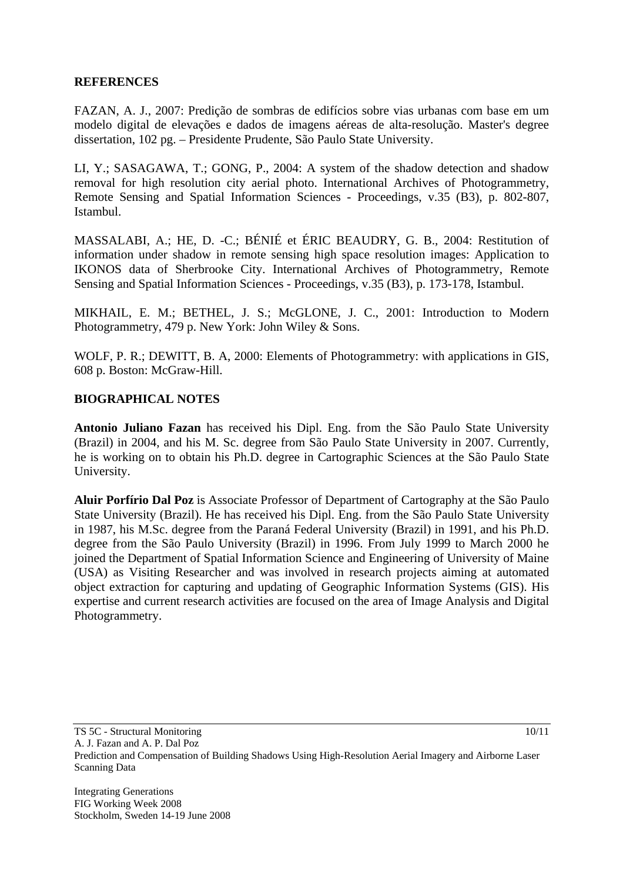## **REFERENCES**

FAZAN, A. J., 2007: Predição de sombras de edifícios sobre vias urbanas com base em um modelo digital de elevações e dados de imagens aéreas de alta-resolução. Master's degree dissertation, 102 pg. – Presidente Prudente, São Paulo State University.

LI, Y.; SASAGAWA, T.; GONG, P., 2004: A system of the shadow detection and shadow removal for high resolution city aerial photo. International Archives of Photogrammetry, Remote Sensing and Spatial Information Sciences - Proceedings, v.35 (B3), p. 802-807, Istambul.

MASSALABI, A.; HE, D. -C.; BÉNIÉ et ÉRIC BEAUDRY, G. B., 2004: Restitution of information under shadow in remote sensing high space resolution images: Application to IKONOS data of Sherbrooke City. International Archives of Photogrammetry, Remote Sensing and Spatial Information Sciences - Proceedings, v.35 (B3), p. 173-178, Istambul.

MIKHAIL, E. M.; BETHEL, J. S.; McGLONE, J. C., 2001: Introduction to Modern Photogrammetry, 479 p. New York: John Wiley & Sons.

WOLF, P. R.; DEWITT, B. A, 2000: Elements of Photogrammetry: with applications in GIS, 608 p. Boston: McGraw-Hill.

### **BIOGRAPHICAL NOTES**

**Antonio Juliano Fazan** has received his Dipl. Eng. from the São Paulo State University (Brazil) in 2004, and his M. Sc. degree from São Paulo State University in 2007. Currently, he is working on to obtain his Ph.D. degree in Cartographic Sciences at the São Paulo State University.

**Aluir Porfírio Dal Poz** is Associate Professor of Department of Cartography at the São Paulo State University (Brazil). He has received his Dipl. Eng. from the São Paulo State University in 1987, his M.Sc. degree from the Paraná Federal University (Brazil) in 1991, and his Ph.D. degree from the São Paulo University (Brazil) in 1996. From July 1999 to March 2000 he joined the Department of Spatial Information Science and Engineering of University of Maine (USA) as Visiting Researcher and was involved in research projects aiming at automated object extraction for capturing and updating of Geographic Information Systems (GIS). His expertise and current research activities are focused on the area of Image Analysis and Digital Photogrammetry.

TS 5C - Structural Monitoring A. J. Fazan and A. P. Dal Poz

Prediction and Compensation of Building Shadows Using High-Resolution Aerial Imagery and Airborne Laser Scanning Data